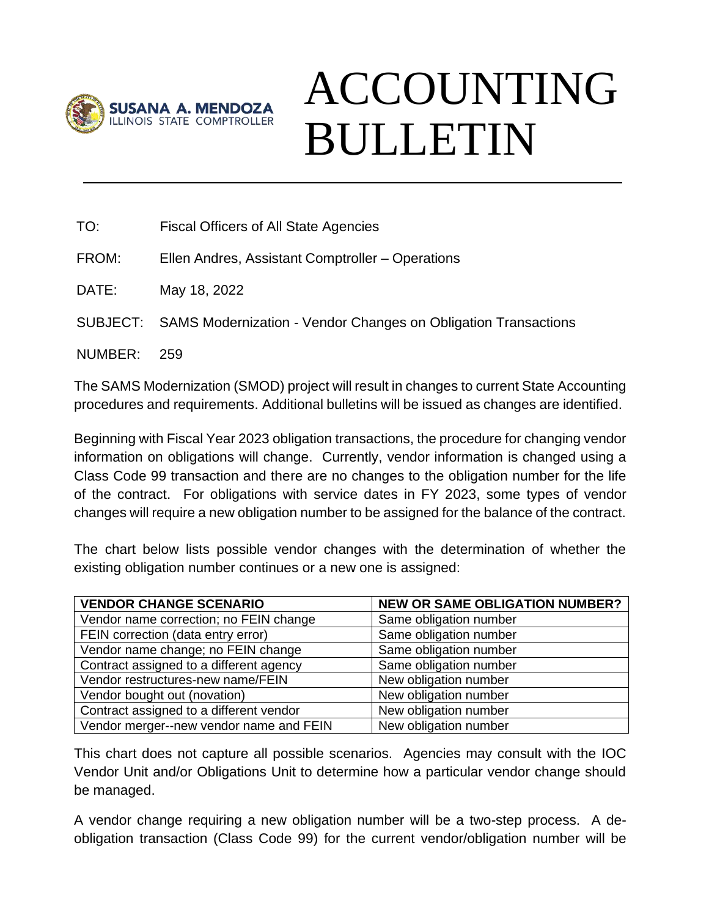

## ACCOUNTING BULLETIN

| TO:                                                                                      | <b>Fiscal Officers of All State Agencies</b>                            |  |
|------------------------------------------------------------------------------------------|-------------------------------------------------------------------------|--|
| FROM:                                                                                    | Ellen Andres, Assistant Comptroller – Operations                        |  |
| DATE:                                                                                    | May 18, 2022                                                            |  |
|                                                                                          | SUBJECT: SAMS Modernization - Vendor Changes on Obligation Transactions |  |
| NUMBER:                                                                                  | 259                                                                     |  |
| The SAMS Modernization (SMOD) project will result in changes to current State Accounting |                                                                         |  |

Beginning with Fiscal Year 2023 obligation transactions, the procedure for changing vendor information on obligations will change. Currently, vendor information is changed using a Class Code 99 transaction and there are no changes to the obligation number for the life of the contract. For obligations with service dates in FY 2023, some types of vendor

procedures and requirements. Additional bulletins will be issued as changes are identified.

The chart below lists possible vendor changes with the determination of whether the existing obligation number continues or a new one is assigned:

changes will require a new obligation number to be assigned for the balance of the contract.

| <b>VENDOR CHANGE SCENARIO</b>           | <b>NEW OR SAME OBLIGATION NUMBER?</b> |
|-----------------------------------------|---------------------------------------|
| Vendor name correction; no FEIN change  | Same obligation number                |
| FEIN correction (data entry error)      | Same obligation number                |
| Vendor name change; no FEIN change      | Same obligation number                |
| Contract assigned to a different agency | Same obligation number                |
| Vendor restructures-new name/FEIN       | New obligation number                 |
| Vendor bought out (novation)            | New obligation number                 |
| Contract assigned to a different vendor | New obligation number                 |
| Vendor merger--new vendor name and FEIN | New obligation number                 |

This chart does not capture all possible scenarios. Agencies may consult with the IOC Vendor Unit and/or Obligations Unit to determine how a particular vendor change should be managed.

A vendor change requiring a new obligation number will be a two-step process. A deobligation transaction (Class Code 99) for the current vendor/obligation number will be